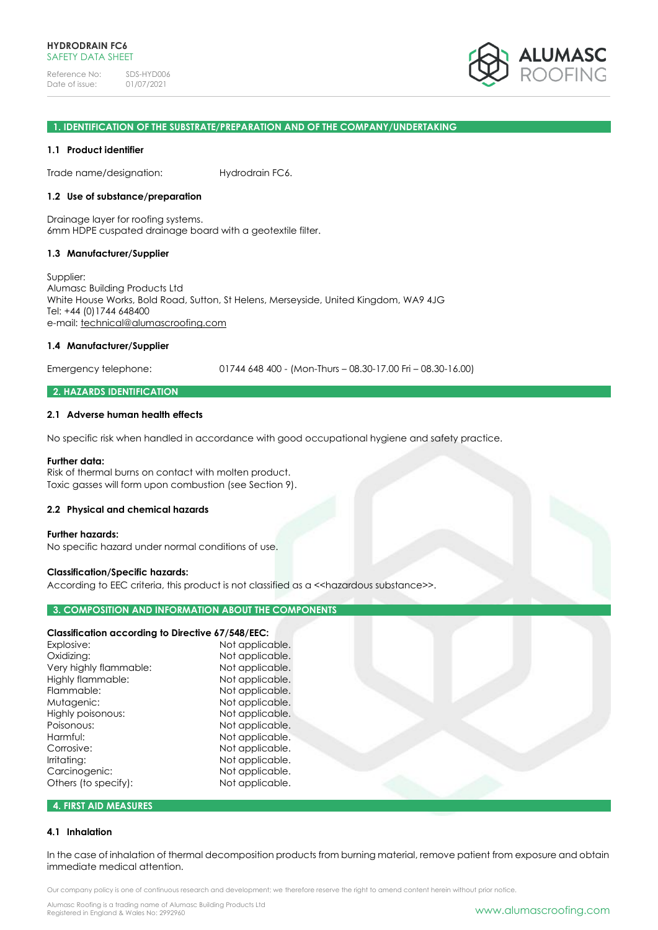

#### **1. IDENTIFICATION OF THE SUBSTRATE/PREPARATION AND OF THE COMPANY/UNDERTAKING**

#### **1.1 Product identifier**

Trade name/designation: Hydrodrain FC6.

## **1.2 Use of substance/preparation**

Drainage layer for roofing systems. 6mm HDPE cuspated drainage board with a geotextile filter.

#### **1.3 Manufacturer/Supplier**

Supplier: Alumasc Building Products Ltd White House Works, Bold Road, Sutton, St Helens, Merseyside, United Kingdom, WA9 4JG Tel: +44 (0)1744 648400 e-mail: [technical@alumascroofing.com](mailto:technical@alumascroofing.com)

## **1.4 Manufacturer/Supplier**

Emergency telephone: 01744 648 400 - (Mon-Thurs – 08.30-17.00 Fri – 08.30-16.00)

## **2. HAZARDS IDENTIFICATION**

#### **2.1 Adverse human health effects**

No specific risk when handled in accordance with good occupational hygiene and safety practice.

#### **Further data:**

Risk of thermal burns on contact with molten product. Toxic gasses will form upon combustion (see Section 9).

#### **2.2 Physical and chemical hazards**

#### **Further hazards:**

No specific hazard under normal conditions of use.

#### **Classification/Specific hazards:**

According to EEC criteria, this product is not classified as a << hazardous substance>>.

## **3. COMPOSITION AND INFORMATION ABOUT THE COMPONENTS**

# **Classification according to Directive 67/548/EEC:**

| Explosive:             | Not applicable. |
|------------------------|-----------------|
| Oxidizing:             | Not applicable. |
| Very highly flammable: | Not applicable. |
| Highly flammable:      | Not applicable. |
| Flammable:             | Not applicable. |
| Mutagenic:             | Not applicable. |
| Highly poisonous:      | Not applicable. |
| Poisonous:             | Not applicable. |
| Harmful:               | Not applicable. |
| Corrosive:             | Not applicable. |
| Irritating:            | Not applicable. |
| Carcinogenic:          | Not applicable. |
| Others (to specify):   | Not applicable. |
|                        |                 |

# **4. FIRST AID MEASURES**

#### **4.1 Inhalation**

In the case of inhalation of thermal decomposition products from burning material, remove patient from exposure and obtain immediate medical attention.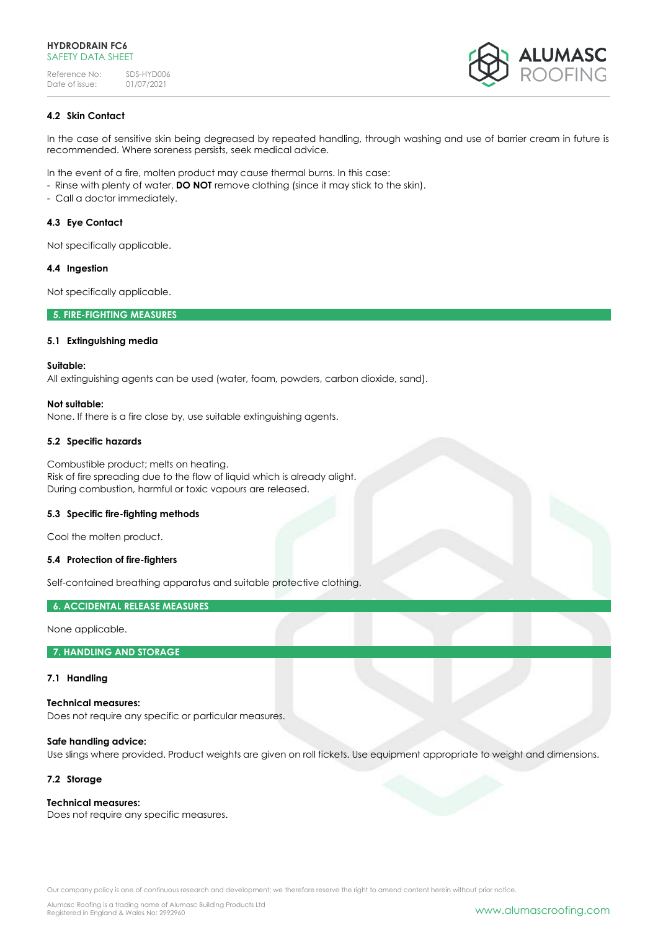

# **4.2 Skin Contact**

In the case of sensitive skin being degreased by repeated handling, through washing and use of barrier cream in future is recommended. Where soreness persists, seek medical advice.

In the event of a fire, molten product may cause thermal burns. In this case:

- Rinse with plenty of water. **DO NOT** remove clothing (since it may stick to the skin).
- Call a doctor immediately.

# **4.3 Eye Contact**

Not specifically applicable.

# **4.4 Ingestion**

Not specifically applicable.

# **5. FIRE-FIGHTING MEASURES**

# **5.1 Extinguishing media**

## **Suitable:**

All extinguishing agents can be used (water, foam, powders, carbon dioxide, sand).

# **Not suitable:**

None. If there is a fire close by, use suitable extinguishing agents.

# **5.2 Specific hazards**

Combustible product; melts on heating. Risk of fire spreading due to the flow of liquid which is already alight. During combustion, harmful or toxic vapours are released.

## **5.3 Specific fire-fighting methods**

Cool the molten product.

# **5.4 Protection of fire-fighters**

Self-contained breathing apparatus and suitable protective clothing.

# **6. ACCIDENTAL RELEASE MEASURES**

None applicable.

# **7. HANDLING AND STORAGE**

## **7.1 Handling**

**Technical measures:** Does not require any specific or particular measures.

# **Safe handling advice:**

Use slings where provided. Product weights are given on roll tickets. Use equipment appropriate to weight and dimensions.

# **7.2 Storage**

# **Technical measures:**

Does not require any specific measures.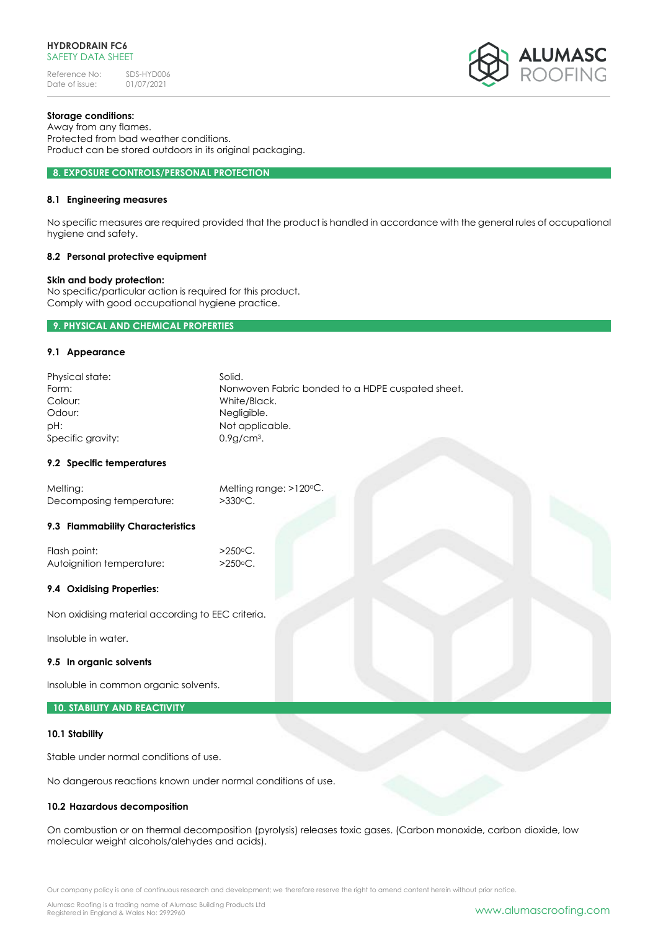

# **Storage conditions:**

Away from any flames. Protected from bad weather conditions. Product can be stored outdoors in its original packaging.

#### **8. EXPOSURE CONTROLS/PERSONAL PROTECTION**

# **8.1 Engineering measures**

No specific measures are required provided that the product is handled in accordance with the general rules of occupational hygiene and safety.

#### **8.2 Personal protective equipment**

## **Skin and body protection:**

No specific/particular action is required for this product. Comply with good occupational hygiene practice.

## **9. PHYSICAL AND CHEMICAL PROPERTIES**

#### **9.1 Appearance**

| Physical state:   | Solid.                                           |
|-------------------|--------------------------------------------------|
| Form:             | Nonwoven Fabric bonded to a HDPE cuspated sheet. |
| Colour:           | White/Black.                                     |
| Odour:            | Negligible.                                      |
| pH:               | Not applicable.                                  |
| Specific gravity: | $0.9q$ cm <sup>3</sup> .                         |

#### **9.2 Specific temperatures**

| Melting:                 | Melting range: $>120^{\circ}$ C. |
|--------------------------|----------------------------------|
| Decomposing temperature: | $>330^{\circ}$ C.                |

## **9.3 Flammability Characteristics**

Flash point:  $>250$ °C. Autoignition temperature: >250°C.

## **9.4 Oxidising Properties:**

Non oxidising material according to EEC criteria.

Insoluble in water.

#### **9.5 In organic solvents**

Insoluble in common organic solvents.

## **10. STABILITY AND REACTIVITY**

#### **10.1 Stability**

Stable under normal conditions of use.

No dangerous reactions known under normal conditions of use.

## **10.2 Hazardous decomposition**

On combustion or on thermal decomposition (pyrolysis) releases toxic gases. (Carbon monoxide, carbon dioxide, low molecular weight alcohols/alehydes and acids).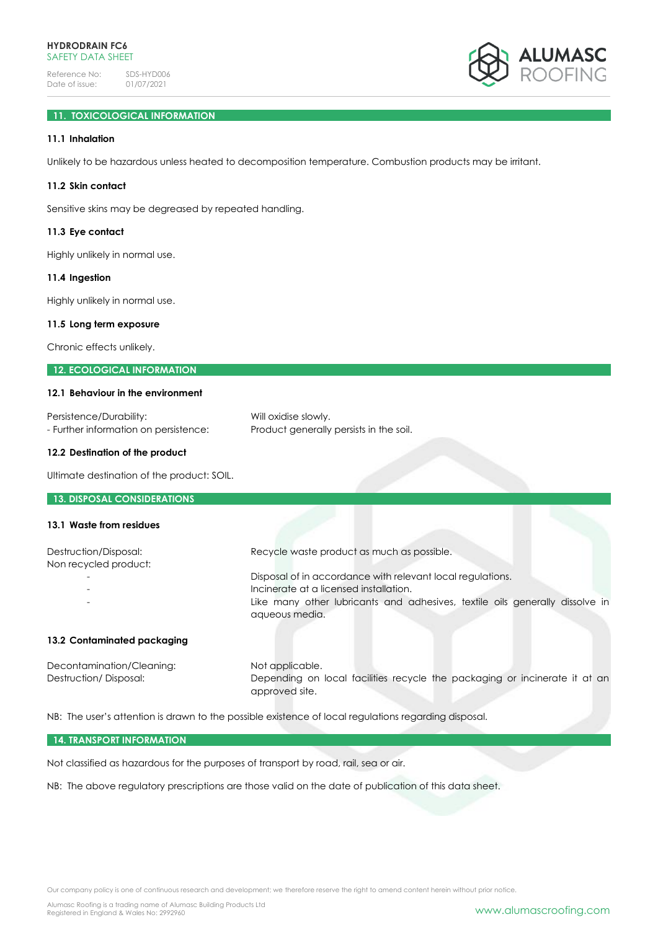

# **11. TOXICOLOGICAL INFORMATION**

# **11.1 Inhalation**

Unlikely to be hazardous unless heated to decomposition temperature. Combustion products may be irritant.

# **11.2 Skin contact**

Sensitive skins may be degreased by repeated handling.

#### **11.3 Eye contact**

Highly unlikely in normal use.

#### **11.4 Ingestion**

Highly unlikely in normal use.

#### **11.5 Long term exposure**

Chronic effects unlikely.

# **12. ECOLOGICAL INFORMATION**

#### **12.1 Behaviour in the environment**

| Persistence/Durability:               | Will oxidise slowly.                    |
|---------------------------------------|-----------------------------------------|
| - Further information on persistence: | Product generally persists in the soil. |

## **12.2 Destination of the product**

Ultimate destination of the product: SOIL.

#### **13. DISPOSAL CONSIDERATIONS**

# **13.1 Waste from residues**

| Destruction/Disposal:<br>Non recycled product: | Recycle waste product as much as possible.                                   |
|------------------------------------------------|------------------------------------------------------------------------------|
|                                                | Disposal of in accordance with relevant local regulations.                   |
|                                                | Incinerate at a licensed installation.                                       |
|                                                | Like many other lubricants and adhesives, textile oils generally dissolve in |

## **13.2 Contaminated packaging**

Decontamination/Cleaning: Not applicable. Destruction/ Disposal: Depending on local facilities recycle the packaging or incinerate it at an approved site.

NB: The user's attention is drawn to the possible existence of local regulations regarding disposal.

aqueous media.

#### **14. TRANSPORT INFORMATION**

Not classified as hazardous for the purposes of transport by road, rail, sea or air.

NB: The above regulatory prescriptions are those valid on the date of publication of this data sheet.